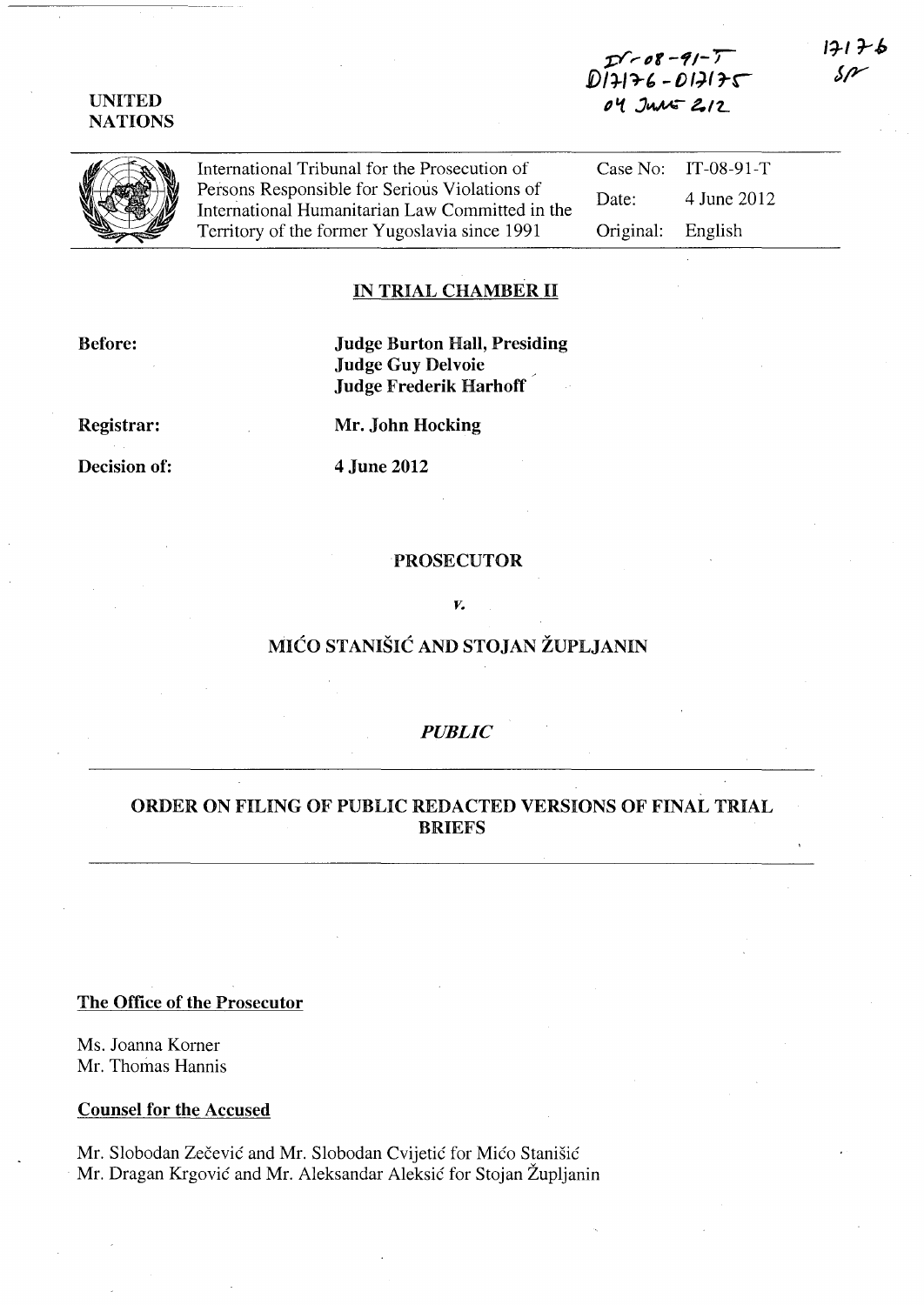## UNITED NATIONS



International Tribunal for the Prosecution of Persons Responsible for Serious Violations of International Humanitarian Law Committed in the Territory of the former Yugoslavia since 1991

Case No: IT-08-9l-T Date: 4 June 2012 Original: English

## IN TRIAL CHAMBER II

Before:

# Judge Burton Hall, Presiding Judge Guy Delvoie Judge Frederik Harhoff

Registrar:

Mr. John Hocking

Decision of:

4 June 2012

### PROSECUTOR

*v.* 

# MICO STANISIC AND STOJAN ZUPLJANIN

## *PUBLIC*

# ORDER ON FILING OF PUBLIC REDACTED VERSIONS OF FINAL TRIAL BRIEFS

### The Office of the Prosecutor

Ms. Joanna Korner Mr. Thomas Hannis

#### Counsel for the Accused

Mr. Slobodan Zečević and Mr. Slobodan Cvijetić for Mićo Stanišić Mr. Dragan Krgovic and Mr. Aleksandar Aleksic for Stojan Zupljanin  $12126$